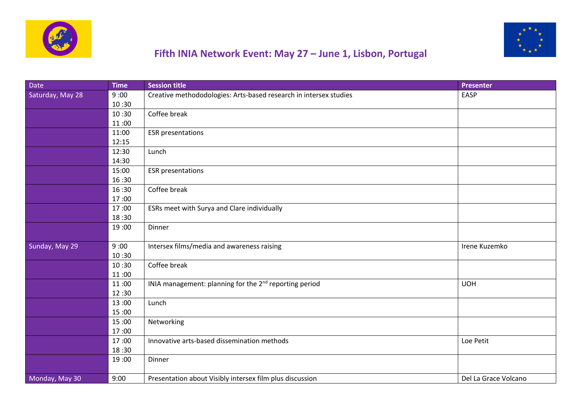



## **Fifth INIA Network Event: May 27 – June 1, Lisbon, Portugal**

| <b>Date</b>      | <b>Time</b> | <b>Session title</b>                                               | <b>Presenter</b>     |
|------------------|-------------|--------------------------------------------------------------------|----------------------|
| Saturday, May 28 | 9:00        | Creative methododologies: Arts-based research in intersex studies  | EASP                 |
|                  | 10:30       |                                                                    |                      |
|                  | 10:30       | Coffee break                                                       |                      |
|                  | 11:00       |                                                                    |                      |
|                  | 11:00       | <b>ESR</b> presentations                                           |                      |
|                  | 12:15       |                                                                    |                      |
|                  | 12:30       | Lunch                                                              |                      |
|                  | 14:30       |                                                                    |                      |
|                  | 15:00       | <b>ESR</b> presentations                                           |                      |
|                  | 16:30       |                                                                    |                      |
|                  | 16:30       | Coffee break                                                       |                      |
|                  | 17:00       |                                                                    |                      |
|                  | 17:00       | ESRs meet with Surya and Clare individually                        |                      |
|                  | 18:30       |                                                                    |                      |
|                  | 19:00       | Dinner                                                             |                      |
| Sunday, May 29   | 9:00        | Intersex films/media and awareness raising                         | Irene Kuzemko        |
|                  | 10:30       |                                                                    |                      |
|                  | 10:30       | Coffee break                                                       |                      |
|                  | 11:00       |                                                                    |                      |
|                  | 11:00       | INIA management: planning for the 2 <sup>nd</sup> reporting period | <b>UOH</b>           |
|                  | 12:30       |                                                                    |                      |
|                  | 13:00       | Lunch                                                              |                      |
|                  | 15:00       |                                                                    |                      |
|                  | 15:00       | Networking                                                         |                      |
|                  | 17:00       |                                                                    |                      |
|                  | 17:00       | Innovative arts-based dissemination methods                        | Loe Petit            |
|                  | 18:30       |                                                                    |                      |
|                  | 19:00       | Dinner                                                             |                      |
| Monday, May 30   | 9:00        | Presentation about Visibly intersex film plus discussion           | Del La Grace Volcano |
|                  |             |                                                                    |                      |